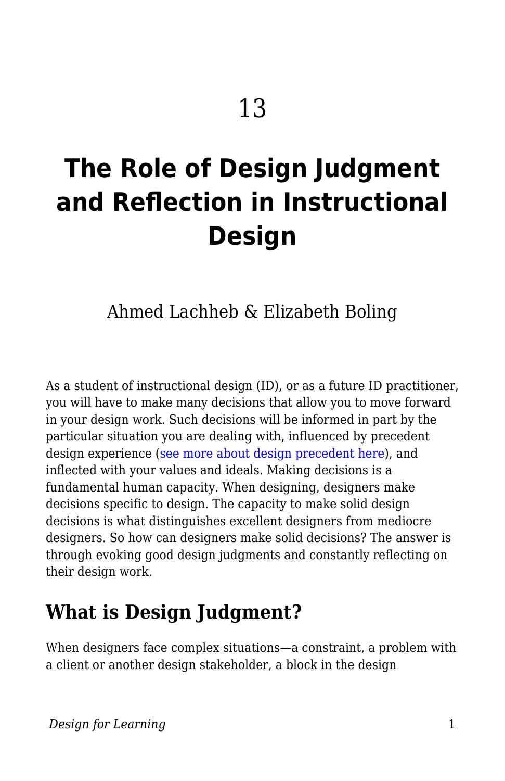# **The Role of Design Judgment and Reflection in Instructional Design**

Ahmed Lachheb & Elizabeth Boling

As a student of instructional design (ID), or as a future ID practitioner, you will have to make many decisions that allow you to move forward in your design work. Such decisions will be informed in part by the particular situation you are dealing with, influenced by precedent design experience [\(see more about design precedent here\)](https://edtechbooks.org/id/precedent), and inflected with your values and ideals. Making decisions is a fundamental human capacity. When designing, designers make decisions specific to design. The capacity to make solid design decisions is what distinguishes excellent designers from mediocre designers. So how can designers make solid decisions? The answer is through evoking good design judgments and constantly reflecting on their design work.

## **What is Design Judgment?**

When designers face complex situations—a constraint, a problem with a client or another design stakeholder, a block in the design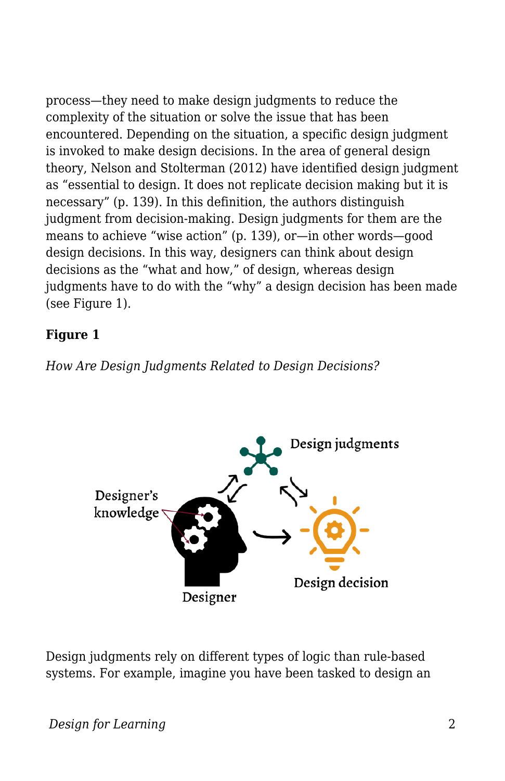process—they need to make design judgments to reduce the complexity of the situation or solve the issue that has been encountered. Depending on the situation, a specific design judgment is invoked to make design decisions. In the area of general design theory, Nelson and Stolterman (2012) have identified design judgment as "essential to design. It does not replicate decision making but it is necessary" (p. 139). In this definition, the authors distinguish judgment from decision-making. Design judgments for them are the means to achieve "wise action" (p. 139), or—in other words—good design decisions. In this way, designers can think about design decisions as the "what and how," of design, whereas design judgments have to do with the "why" a design decision has been made (see Figure 1).

#### **Figure 1**

*How Are Design Judgments Related to Design Decisions?*



Design judgments rely on different types of logic than rule-based systems. For example, imagine you have been tasked to design an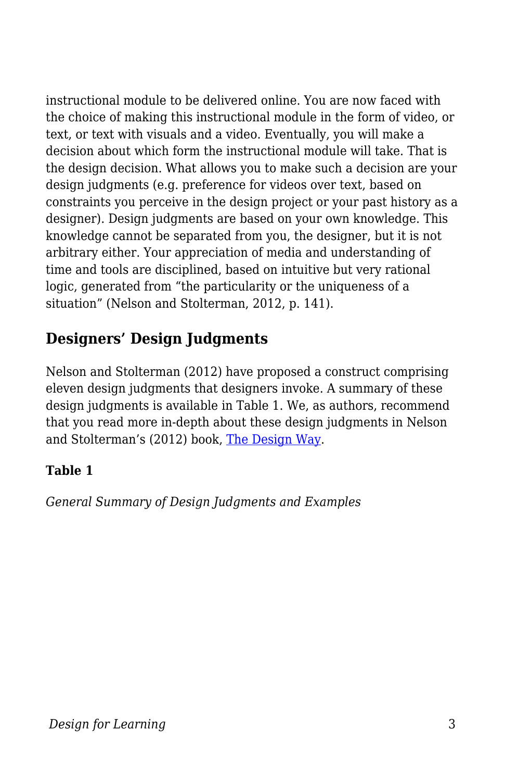instructional module to be delivered online. You are now faced with the choice of making this instructional module in the form of video, or text, or text with visuals and a video. Eventually, you will make a decision about which form the instructional module will take. That is the design decision. What allows you to make such a decision are your design judgments (e.g. preference for videos over text, based on constraints you perceive in the design project or your past history as a designer). Design judgments are based on your own knowledge. This knowledge cannot be separated from you, the designer, but it is not arbitrary either. Your appreciation of media and understanding of time and tools are disciplined, based on intuitive but very rational logic, generated from "the particularity or the uniqueness of a situation" (Nelson and Stolterman, 2012, p. 141).

### **Designers' Design Judgments**

Nelson and Stolterman (2012) have proposed a construct comprising eleven design judgments that designers invoke. A summary of these design judgments is available in Table 1. We, as authors, recommend that you read more in-depth about these design judgments in Nelson and Stolterman's (2012) book, [The Design Way.](https://mitpress.mit.edu/books/design-way-second-edition)

#### **Table 1**

*General Summary of Design Judgments and Examples*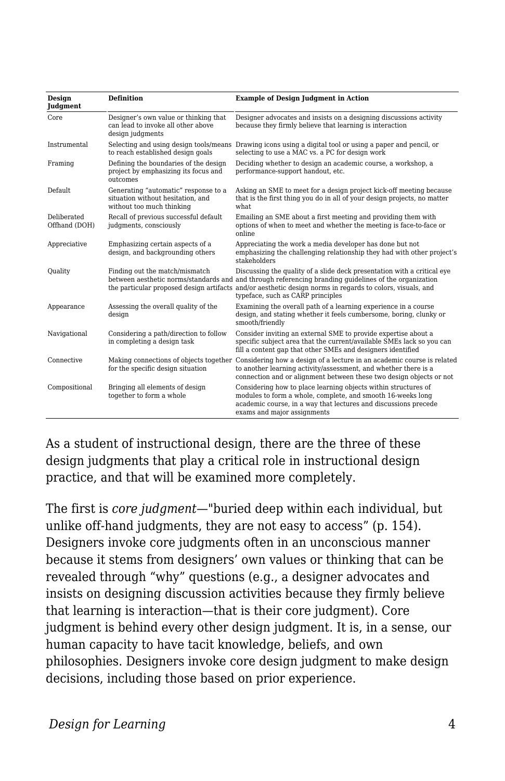| <b>Design</b><br><b>Judgment</b> | <b>Definition</b>                                                                                      | <b>Example of Design Judgment in Action</b>                                                                                                                                                                                                                                                                                        |
|----------------------------------|--------------------------------------------------------------------------------------------------------|------------------------------------------------------------------------------------------------------------------------------------------------------------------------------------------------------------------------------------------------------------------------------------------------------------------------------------|
| Core                             | Designer's own value or thinking that<br>can lead to invoke all other above<br>design judgments        | Designer advocates and insists on a designing discussions activity<br>because they firmly believe that learning is interaction                                                                                                                                                                                                     |
| Instrumental                     | Selecting and using design tools/means<br>to reach established design goals                            | Drawing icons using a digital tool or using a paper and pencil, or<br>selecting to use a MAC vs. a PC for design work                                                                                                                                                                                                              |
| Framing                          | Defining the boundaries of the design<br>project by emphasizing its focus and<br>outcomes              | Deciding whether to design an academic course, a workshop, a<br>performance-support handout, etc.                                                                                                                                                                                                                                  |
| <b>Default</b>                   | Generating "automatic" response to a<br>situation without hesitation, and<br>without too much thinking | Asking an SME to meet for a design project kick-off meeting because<br>that is the first thing you do in all of your design projects, no matter<br>what.                                                                                                                                                                           |
| Deliberated<br>Offhand (DOH)     | Recall of previous successful default<br>judgments, consciously                                        | Emailing an SME about a first meeting and providing them with<br>options of when to meet and whether the meeting is face-to-face or<br>online                                                                                                                                                                                      |
| Appreciative                     | Emphasizing certain aspects of a<br>design, and backgrounding others                                   | Appreciating the work a media developer has done but not<br>emphasizing the challenging relationship they had with other project's<br>stakeholders                                                                                                                                                                                 |
| Quality                          | Finding out the match/mismatch                                                                         | Discussing the quality of a slide deck presentation with a critical eye<br>between aesthetic norms/standards and and through referencing branding quidelines of the organization<br>the particular proposed design artifacts and/or aesthetic design norms in regards to colors, visuals, and<br>typeface, such as CARP principles |
| Appearance                       | Assessing the overall quality of the<br>design                                                         | Examining the overall path of a learning experience in a course<br>design, and stating whether it feels cumbersome, boring, clunky or<br>smooth/friendly                                                                                                                                                                           |
| Navigational                     | Considering a path/direction to follow<br>in completing a design task                                  | Consider inviting an external SME to provide expertise about a<br>specific subject area that the current/available SMEs lack so you can<br>fill a content gap that other SMEs and designers identified                                                                                                                             |
| Connective                       | Making connections of objects together<br>for the specific design situation                            | Considering how a design of a lecture in an academic course is related<br>to another learning activity/assessment, and whether there is a<br>connection and or alignment between these two design objects or not                                                                                                                   |
| Compositional                    | Bringing all elements of design<br>together to form a whole                                            | Considering how to place learning objects within structures of<br>modules to form a whole, complete, and smooth 16-weeks long<br>academic course, in a way that lectures and discussions precede<br>exams and major assignments                                                                                                    |

As a student of instructional design, there are the three of these design judgments that play a critical role in instructional design practice, and that will be examined more completely.

The first is *core judgment*—"buried deep within each individual, but unlike off-hand judgments, they are not easy to access" (p. 154). Designers invoke core judgments often in an unconscious manner because it stems from designers' own values or thinking that can be revealed through "why" questions (e.g., a designer advocates and insists on designing discussion activities because they firmly believe that learning is interaction—that is their core judgment). Core judgment is behind every other design judgment. It is, in a sense, our human capacity to have tacit knowledge, beliefs, and own philosophies. Designers invoke core design judgment to make design decisions, including those based on prior experience.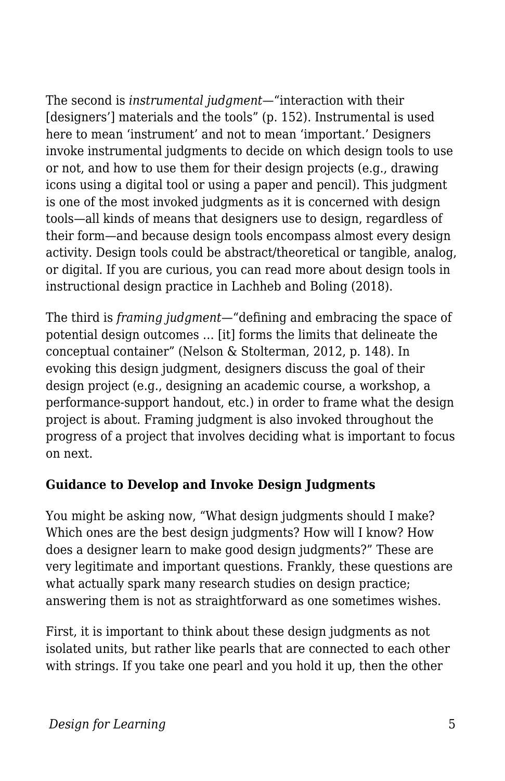The second is *instrumental judgment*—"interaction with their [designers'] materials and the tools" (p. 152). Instrumental is used here to mean 'instrument' and not to mean 'important.' Designers invoke instrumental judgments to decide on which design tools to use or not, and how to use them for their design projects (e.g., drawing icons using a digital tool or using a paper and pencil). This judgment is one of the most invoked judgments as it is concerned with design tools—all kinds of means that designers use to design, regardless of their form—and because design tools encompass almost every design activity. Design tools could be abstract/theoretical or tangible, analog, or digital. If you are curious, you can read more about design tools in instructional design practice in Lachheb and Boling (2018).

The third is *framing judgment*—"defining and embracing the space of potential design outcomes … [it] forms the limits that delineate the conceptual container" (Nelson & Stolterman, 2012, p. 148). In evoking this design judgment, designers discuss the goal of their design project (e.g., designing an academic course, a workshop, a performance-support handout, etc.) in order to frame what the design project is about. Framing judgment is also invoked throughout the progress of a project that involves deciding what is important to focus on next.

#### **Guidance to Develop and Invoke Design Judgments**

You might be asking now, "What design judgments should I make? Which ones are the best design judgments? How will I know? How does a designer learn to make good design judgments?" These are very legitimate and important questions. Frankly, these questions are what actually spark many research studies on design practice; answering them is not as straightforward as one sometimes wishes.

First, it is important to think about these design judgments as not isolated units, but rather like pearls that are connected to each other with strings. If you take one pearl and you hold it up, then the other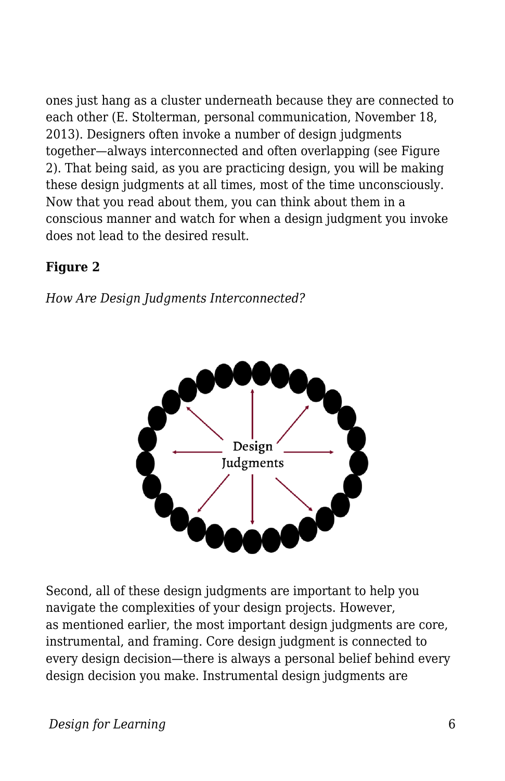ones just hang as a cluster underneath because they are connected to each other (E. Stolterman, personal communication, November 18, 2013). Designers often invoke a number of design judgments together—always interconnected and often overlapping (see Figure 2). That being said, as you are practicing design, you will be making these design judgments at all times, most of the time unconsciously. Now that you read about them, you can think about them in a conscious manner and watch for when a design judgment you invoke does not lead to the desired result.

#### **Figure 2**

*How Are Design Judgments Interconnected?*



Second, all of these design judgments are important to help you navigate the complexities of your design projects. However, as mentioned earlier, the most important design judgments are core, instrumental, and framing. Core design judgment is connected to every design decision—there is always a personal belief behind every design decision you make. Instrumental design judgments are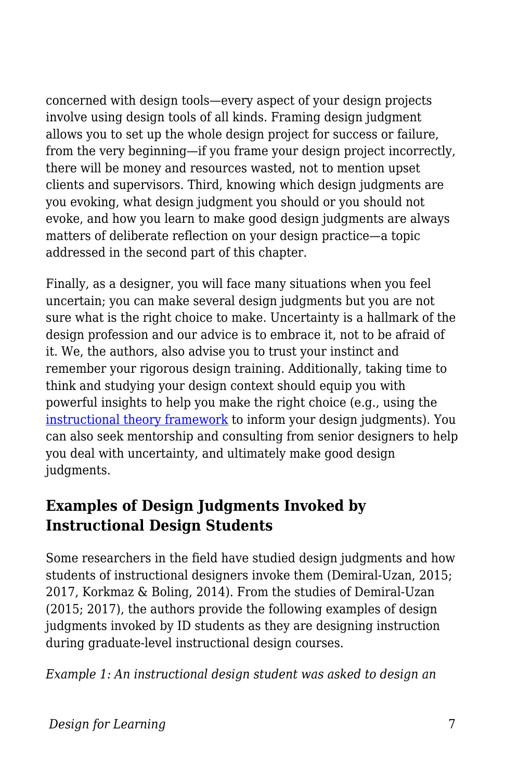concerned with design tools—every aspect of your design projects involve using design tools of all kinds. Framing design judgment allows you to set up the whole design project for success or failure, from the very beginning—if you frame your design project incorrectly, there will be money and resources wasted, not to mention upset clients and supervisors. Third, knowing which design judgments are you evoking, what design judgment you should or you should not evoke, and how you learn to make good design judgments are always matters of deliberate reflection on your design practice—a topic addressed in the second part of this chapter.

Finally, as a designer, you will face many situations when you feel uncertain; you can make several design judgments but you are not sure what is the right choice to make. Uncertainty is a hallmark of the design profession and our advice is to embrace it, not to be afraid of it. We, the authors, also advise you to trust your instinct and remember your rigorous design training. Additionally, taking time to think and studying your design context should equip you with powerful insights to help you make the right choice (e.g., using the [instructional theory framework](https://edtechbooks.org/id/making_good_design) to inform your design judgments). You can also seek mentorship and consulting from senior designers to help you deal with uncertainty, and ultimately make good design judgments.

### **Examples of Design Judgments Invoked by Instructional Design Students**

Some researchers in the field have studied design judgments and how students of instructional designers invoke them (Demiral‐Uzan, 2015; 2017, Korkmaz & Boling, 2014). From the studies of Demiral‐Uzan (2015; 2017), the authors provide the following examples of design judgments invoked by ID students as they are designing instruction during graduate-level instructional design courses.

*Example 1: An instructional design student was asked to design an*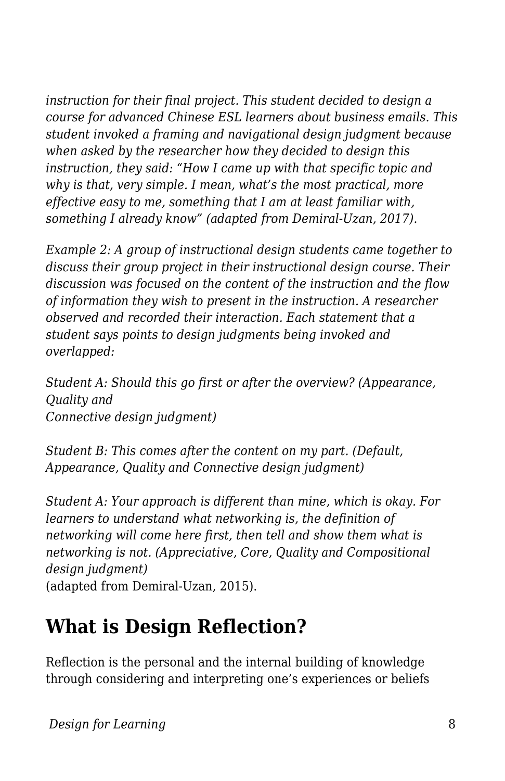*instruction for their final project. This student decided to design a course for advanced Chinese ESL learners about business emails. This student invoked a framing and navigational design judgment because when asked by the researcher how they decided to design this instruction, they said: "How I came up with that specific topic and why is that, very simple. I mean, what's the most practical, more effective easy to me, something that I am at least familiar with, something I already know" (adapted from Demiral-Uzan, 2017).*

*Example 2: A group of instructional design students came together to discuss their group project in their instructional design course. Their discussion was focused on the content of the instruction and the flow of information they wish to present in the instruction. A researcher observed and recorded their interaction. Each statement that a student says points to design judgments being invoked and overlapped:*

*Student A: Should this go first or after the overview? (Appearance, Quality and Connective design judgment)*

*Student B: This comes after the content on my part. (Default, Appearance, Quality and Connective design judgment)*

*Student A: Your approach is different than mine, which is okay. For learners to understand what networking is, the definition of networking will come here first, then tell and show them what is networking is not. (Appreciative, Core, Quality and Compositional design judgment)* (adapted from Demiral-Uzan, 2015).

# **What is Design Reflection?**

Reflection is the personal and the internal building of knowledge through considering and interpreting one's experiences or beliefs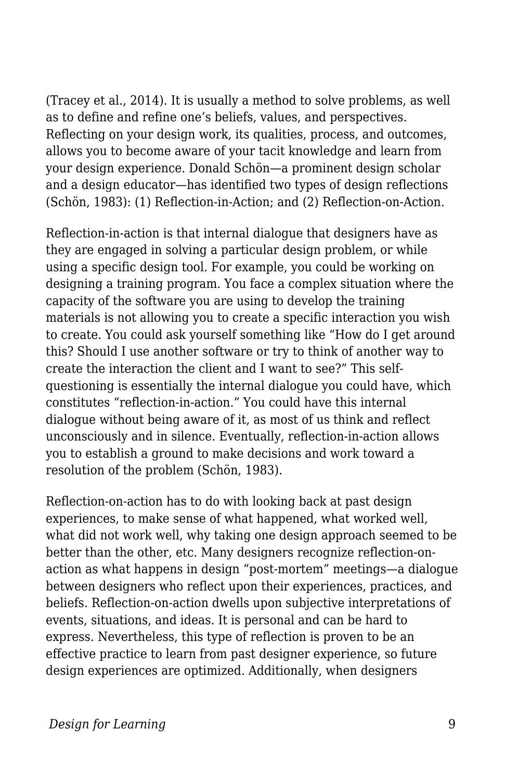(Tracey et al., 2014). It is usually a method to solve problems, as well as to define and refine one's beliefs, values, and perspectives. Reflecting on your design work, its qualities, process, and outcomes, allows you to become aware of your tacit knowledge and learn from your design experience. Donald Schön—a prominent design scholar and a design educator—has identified two types of design reflections (Schön, 1983): (1) Reflection-in-Action; and (2) Reflection-on-Action.

Reflection-in-action is that internal dialogue that designers have as they are engaged in solving a particular design problem, or while using a specific design tool. For example, you could be working on designing a training program. You face a complex situation where the capacity of the software you are using to develop the training materials is not allowing you to create a specific interaction you wish to create. You could ask yourself something like "How do I get around this? Should I use another software or try to think of another way to create the interaction the client and I want to see?" This selfquestioning is essentially the internal dialogue you could have, which constitutes "reflection-in-action." You could have this internal dialogue without being aware of it, as most of us think and reflect unconsciously and in silence. Eventually, reflection-in-action allows you to establish a ground to make decisions and work toward a resolution of the problem (Schön, 1983).

Reflection-on-action has to do with looking back at past design experiences, to make sense of what happened, what worked well, what did not work well, why taking one design approach seemed to be better than the other, etc. Many designers recognize reflection-onaction as what happens in design "post-mortem" meetings—a dialogue between designers who reflect upon their experiences, practices, and beliefs. Reflection-on-action dwells upon subjective interpretations of events, situations, and ideas. It is personal and can be hard to express. Nevertheless, this type of reflection is proven to be an effective practice to learn from past designer experience, so future design experiences are optimized. Additionally, when designers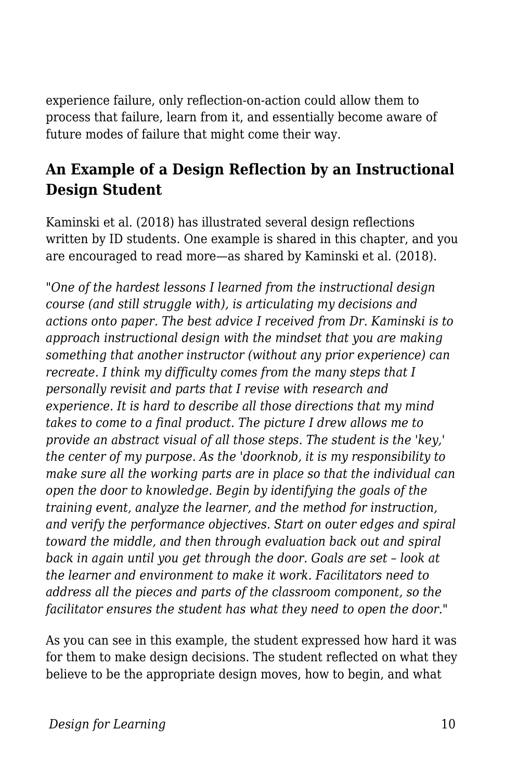experience failure, only reflection-on-action could allow them to process that failure, learn from it, and essentially become aware of future modes of failure that might come their way.

#### **An Example of a Design Reflection by an Instructional Design Student**

Kaminski et al. (2018) has illustrated several design reflections written by ID students. One example is shared in this chapter, and you are encouraged to read more—as shared by Kaminski et al. (2018).

*"One of the hardest lessons I learned from the instructional design course (and still struggle with), is articulating my decisions and actions onto paper. The best advice I received from Dr. Kaminski is to approach instructional design with the mindset that you are making something that another instructor (without any prior experience) can recreate. I think my difficulty comes from the many steps that I personally revisit and parts that I revise with research and experience. It is hard to describe all those directions that my mind takes to come to a final product. The picture I drew allows me to provide an abstract visual of all those steps. The student is the 'key,' the center of my purpose. As the 'doorknob, it is my responsibility to make sure all the working parts are in place so that the individual can open the door to knowledge. Begin by identifying the goals of the training event, analyze the learner, and the method for instruction, and verify the performance objectives. Start on outer edges and spiral toward the middle, and then through evaluation back out and spiral back in again until you get through the door. Goals are set – look at the learner and environment to make it work. Facilitators need to address all the pieces and parts of the classroom component, so the facilitator ensures the student has what they need to open the door."*

As you can see in this example, the student expressed how hard it was for them to make design decisions. The student reflected on what they believe to be the appropriate design moves, how to begin, and what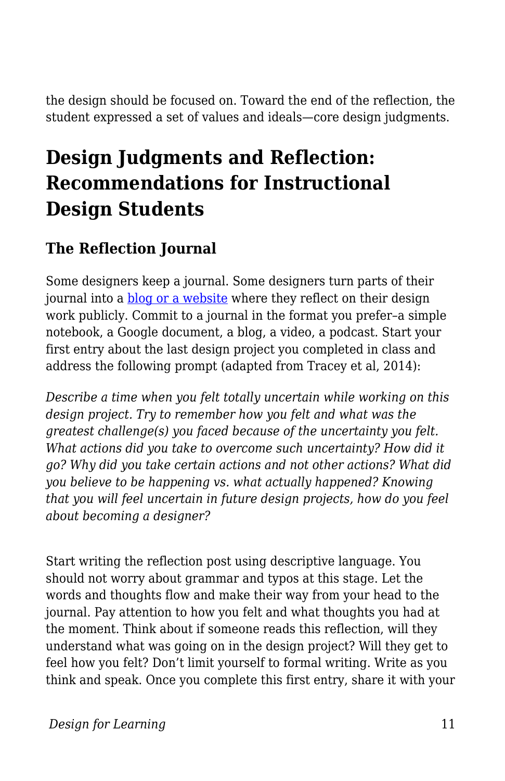the design should be focused on. Toward the end of the reflection, the student expressed a set of values and ideals—core design judgments.

# **Design Judgments and Reflection: Recommendations for Instructional Design Students**

### **The Reflection Journal**

Some designers keep a journal. Some designers turn parts of their journal into a [blog or a website](https://www.lifeofanarchitect.com/) where they reflect on their design work publicly. Commit to a journal in the format you prefer–a simple notebook, a Google document, a blog, a video, a podcast. Start your first entry about the last design project you completed in class and address the following prompt (adapted from Tracey et al, 2014):

*Describe a time when you felt totally uncertain while working on this design project. Try to remember how you felt and what was the greatest challenge(s) you faced because of the uncertainty you felt. What actions did you take to overcome such uncertainty? How did it go? Why did you take certain actions and not other actions? What did you believe to be happening vs. what actually happened? Knowing that you will feel uncertain in future design projects, how do you feel about becoming a designer?*

Start writing the reflection post using descriptive language. You should not worry about grammar and typos at this stage. Let the words and thoughts flow and make their way from your head to the journal. Pay attention to how you felt and what thoughts you had at the moment. Think about if someone reads this reflection, will they understand what was going on in the design project? Will they get to feel how you felt? Don't limit yourself to formal writing. Write as you think and speak. Once you complete this first entry, share it with your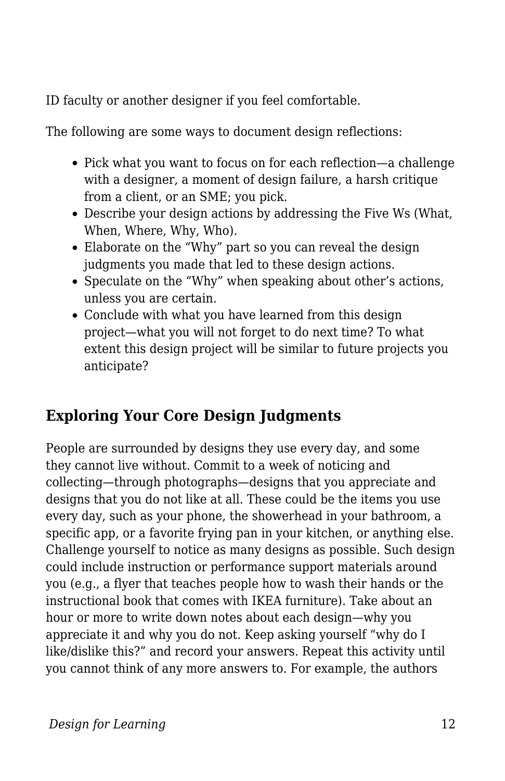ID faculty or another designer if you feel comfortable.

The following are some ways to document design reflections:

- Pick what you want to focus on for each reflection—a challenge with a designer, a moment of design failure, a harsh critique from a client, or an SME; you pick.
- Describe your design actions by addressing the Five Ws (What, When, Where, Why, Who).
- Elaborate on the "Why" part so you can reveal the design judgments you made that led to these design actions.
- Speculate on the "Why" when speaking about other's actions, unless you are certain.
- Conclude with what you have learned from this design project—what you will not forget to do next time? To what extent this design project will be similar to future projects you anticipate?

### **Exploring Your Core Design Judgments**

People are surrounded by designs they use every day, and some they cannot live without. Commit to a week of noticing and collecting—through photographs—designs that you appreciate and designs that you do not like at all. These could be the items you use every day, such as your phone, the showerhead in your bathroom, a specific app, or a favorite frying pan in your kitchen, or anything else. Challenge yourself to notice as many designs as possible. Such design could include instruction or performance support materials around you (e.g., a flyer that teaches people how to wash their hands or the instructional book that comes with IKEA furniture). Take about an hour or more to write down notes about each design—why you appreciate it and why you do not. Keep asking yourself "why do I like/dislike this?" and record your answers. Repeat this activity until you cannot think of any more answers to. For example, the authors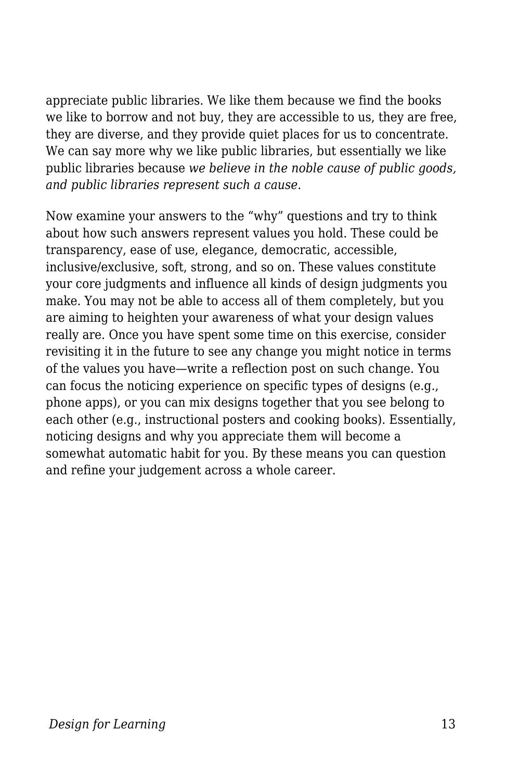appreciate public libraries. We like them because we find the books we like to borrow and not buy, they are accessible to us, they are free, they are diverse, and they provide quiet places for us to concentrate. We can say more why we like public libraries, but essentially we like public libraries because *we believe in the noble cause of public goods, and public libraries represent such a cause*.

Now examine your answers to the "why" questions and try to think about how such answers represent values you hold. These could be transparency, ease of use, elegance, democratic, accessible, inclusive/exclusive, soft, strong, and so on. These values constitute your core judgments and influence all kinds of design judgments you make. You may not be able to access all of them completely, but you are aiming to heighten your awareness of what your design values really are. Once you have spent some time on this exercise, consider revisiting it in the future to see any change you might notice in terms of the values you have—write a reflection post on such change. You can focus the noticing experience on specific types of designs (e.g., phone apps), or you can mix designs together that you see belong to each other (e.g., instructional posters and cooking books). Essentially, noticing designs and why you appreciate them will become a somewhat automatic habit for you. By these means you can question and refine your judgement across a whole career.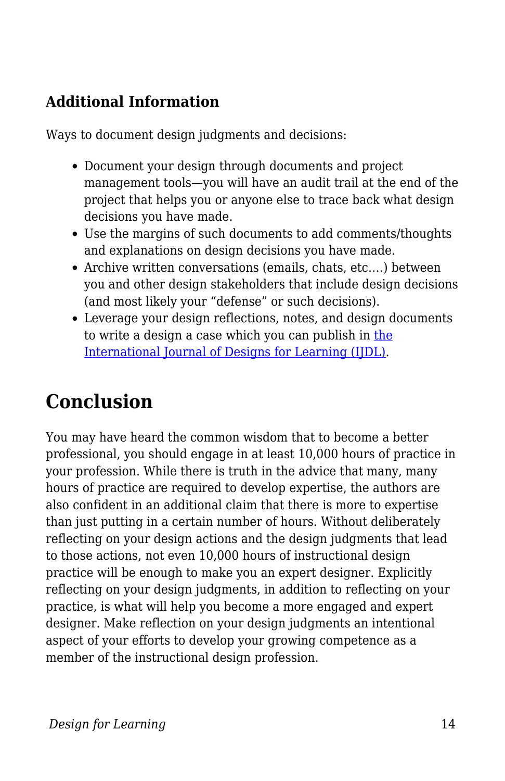### **Additional Information**

Ways to document design judgments and decisions:

- Document your design through documents and project management tools—you will have an audit trail at the end of the project that helps you or anyone else to trace back what design decisions you have made.
- Use the margins of such documents to add comments/thoughts and explanations on design decisions you have made.
- Archive written conversations (emails, chats, etc.…) between you and other design stakeholders that include design decisions (and most likely your "defense" or such decisions).
- Leverage your design reflections, notes, and design documents to write a design a case which you can publish in [the](https://scholarworks.iu.edu/journals/index.php/ijdl/index) [International Journal of Designs for Learning \(IJDL\).](https://scholarworks.iu.edu/journals/index.php/ijdl/index)

# **Conclusion**

You may have heard the common wisdom that to become a better professional, you should engage in at least 10,000 hours of practice in your profession. While there is truth in the advice that many, many hours of practice are required to develop expertise, the authors are also confident in an additional claim that there is more to expertise than just putting in a certain number of hours. Without deliberately reflecting on your design actions and the design judgments that lead to those actions, not even 10,000 hours of instructional design practice will be enough to make you an expert designer. Explicitly reflecting on your design judgments, in addition to reflecting on your practice, is what will help you become a more engaged and expert designer. Make reflection on your design judgments an intentional aspect of your efforts to develop your growing competence as a member of the instructional design profession.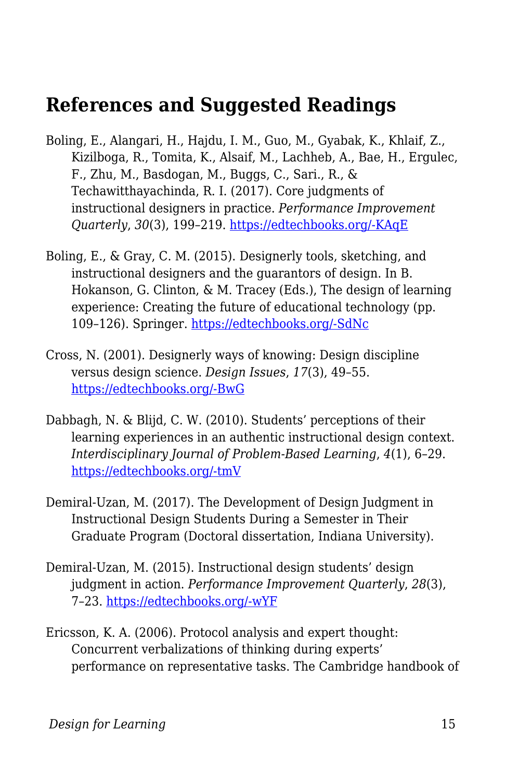### **References and Suggested Readings**

- Boling, E., Alangari, H., Hajdu, I. M., Guo, M., Gyabak, K., Khlaif, Z., Kizilboga, R., Tomita, K., Alsaif, M., Lachheb, A., Bae, H., Ergulec, F., Zhu, M., Basdogan, M., Buggs, C., Sari., R., & Techawitthayachinda, R. I. (2017). Core judgments of instructional designers in practice. *Performance Improvement Quarterly*, *30*(3), 199–219. [https://edtechbooks.org/-KAqE](https://doi.org/10.1002/piq.21250)
- Boling, E., & Gray, C. M. (2015). Designerly tools, sketching, and instructional designers and the guarantors of design. In B. Hokanson, G. Clinton, & M. Tracey (Eds.), The design of learning experience: Creating the future of educational technology (pp. 109–126). Springer. [https://edtechbooks.org/-SdNc](https://doi.org/10.1007/978-3-319-16504-2)
- Cross, N. (2001). Designerly ways of knowing: Design discipline versus design science. *Design Issues*, *17*(3), 49–55. [https://edtechbooks.org/-BwG](https://doi.org/10.1162/074793601750357196)
- Dabbagh, N. & Blijd, C. W. (2010). Students' perceptions of their learning experiences in an authentic instructional design context. *Interdisciplinary Journal of Problem-Based Learning*, *4*(1), 6–29. [https://edtechbooks.org/-tmV](https://doi.org/10.7771/1541-5015.1092)
- Demiral-Uzan, M. (2017). The Development of Design Judgment in Instructional Design Students During a Semester in Their Graduate Program (Doctoral dissertation, Indiana University).
- Demiral‐Uzan, M. (2015). Instructional design students' design judgment in action. *Performance Improvement Quarterly*, *28*(3), 7–23. [https://edtechbooks.org/-wYF](https://doi.org/10.1002/piq.21195)
- Ericsson, K. A. (2006). Protocol analysis and expert thought: Concurrent verbalizations of thinking during experts' performance on representative tasks. The Cambridge handbook of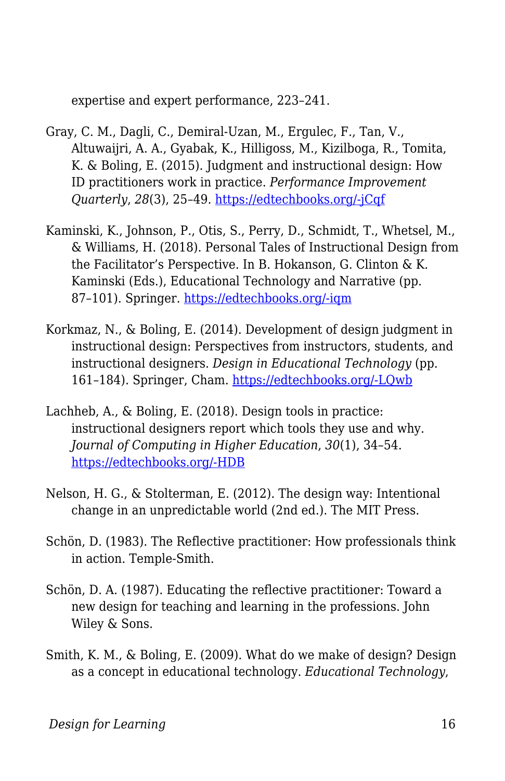expertise and expert performance, 223–241.

- Gray, C. M., Dagli, C., Demiral‐Uzan, M., Ergulec, F., Tan, V., Altuwaijri, A. A., Gyabak, K., Hilligoss, M., Kizilboga, R., Tomita, K. & Boling, E. (2015). Judgment and instructional design: How ID practitioners work in practice. *Performance Improvement Quarterly*, *28*(3), 25–49. [https://edtechbooks.org/-jCqf](https://doi.org/10.1002/piq.21198)
- Kaminski, K., Johnson, P., Otis, S., Perry, D., Schmidt, T., Whetsel, M., & Williams, H. (2018). Personal Tales of Instructional Design from the Facilitator's Perspective. In B. Hokanson, G. Clinton & K. Kaminski (Eds.), Educational Technology and Narrative (pp. 87–101). Springer. [https://edtechbooks.org/-iqm](https://doi.org/10.1007/978-3-319-69914-1)
- Korkmaz, N., & Boling, E. (2014). Development of design judgment in instructional design: Perspectives from instructors, students, and instructional designers. *Design in Educational Technology* (pp. 161–184). Springer, Cham. [https://edtechbooks.org/-LQwb](https://doi.org/10.1007/978-3-319-00927-8_10)
- Lachheb, A., & Boling, E. (2018). Design tools in practice: instructional designers report which tools they use and why. *Journal of Computing in Higher Education*, *30*(1), 34–54. [https://edtechbooks.org/-HDB](https://doi.org/10.1007/s12528-017-9165-x)
- Nelson, H. G., & Stolterman, E. (2012). The design way: Intentional change in an unpredictable world (2nd ed.). The MIT Press.
- Schön, D. (1983). The Reflective practitioner: How professionals think in action. Temple-Smith.
- Schön, D. A. (1987). Educating the reflective practitioner: Toward a new design for teaching and learning in the professions. John Wiley & Sons.
- Smith, K. M., & Boling, E. (2009). What do we make of design? Design as a concept in educational technology. *Educational Technology*,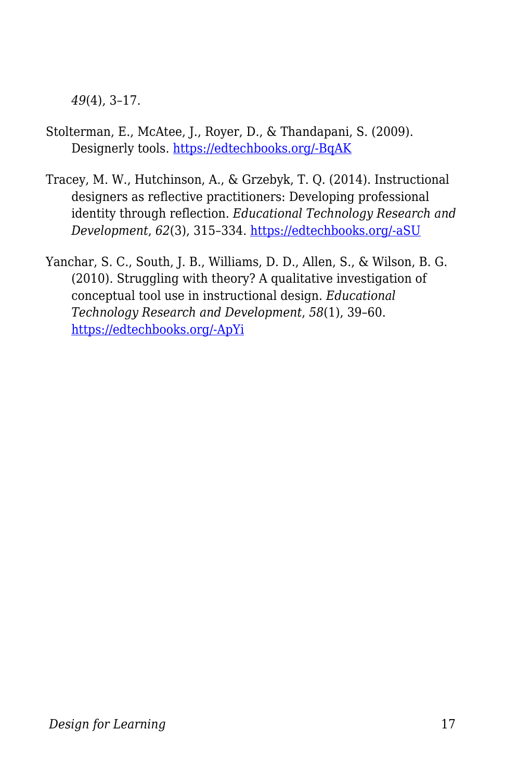*49*(4), 3–17.

- Stolterman, E., McAtee, J., Royer, D., & Thandapani, S. (2009). Designerly tools. [https://edtechbooks.org/-BqAK](http://shura.shu.ac.uk/id/eprint/491)
- Tracey, M. W., Hutchinson, A., & Grzebyk, T. Q. (2014). Instructional designers as reflective practitioners: Developing professional identity through reflection. *Educational Technology Research and Development*, *62*(3), 315–334. [https://edtechbooks.org/-aSU](https://doi.org/10.1007/s11423-014-9334-9)
- Yanchar, S. C., South, J. B., Williams, D. D., Allen, S., & Wilson, B. G. (2010). Struggling with theory? A qualitative investigation of conceptual tool use in instructional design. *Educational Technology Research and Development*, *58*(1), 39–60. [https://edtechbooks.org/-ApYi](https://doi.org/10.1007/s11423-009-9129-6)